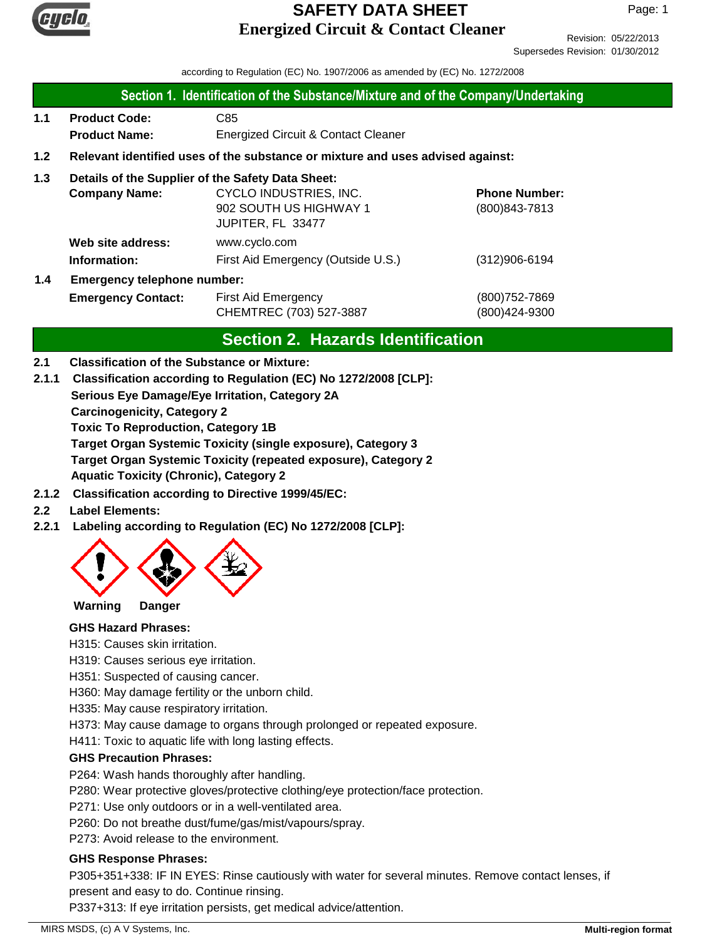

Revision: 05/22/2013 Supersedes Revision: 01/30/2012

according to Regulation (EC) No. 1907/2006 as amended by (EC) No. 1272/2008

### **Section 1. Identification of the Substance/Mixture and of the Company/Undertaking**

- **1.1 Product Code:** C85  **Product Name:** Energized Circuit & Contact Cleaner
- **1.2 Relevant identified uses of the substance or mixture and uses advised against:**

# **1.3 Details of the Supplier of the Safety Data Sheet:**

|     | <b>Company Name:</b>               | CYCLO INDUSTRIES, INC.             | <b>Phone Number:</b> |  |
|-----|------------------------------------|------------------------------------|----------------------|--|
|     |                                    | 902 SOUTH US HIGHWAY 1             | (800) 843-7813       |  |
|     |                                    | JUPITER, FL 33477                  |                      |  |
|     | Web site address:                  | www.cyclo.com                      |                      |  |
|     | Information:                       | First Aid Emergency (Outside U.S.) | $(312)906 - 6194$    |  |
| 1.4 | <b>Emergency telephone number:</b> |                                    |                      |  |

**Emergency Contact:** First Aid Emergency (800)752-7869 CHEMTREC (703) 527-3887 (800)424-9300

# **Section 2. Hazards Identification**

### **2.1 Classification of the Substance or Mixture:**

**Serious Eye Damage/Eye Irritation, Category 2A 2.1.1 Classification according to Regulation (EC) No 1272/2008 [CLP]:**

**Carcinogenicity, Category 2**

**Toxic To Reproduction, Category 1B**

**Target Organ Systemic Toxicity (single exposure), Category 3**

**Target Organ Systemic Toxicity (repeated exposure), Category 2**

**Aquatic Toxicity (Chronic), Category 2**

**2.1.2 Classification according to Directive 1999/45/EC:**

## **2.2 Label Elements:**

**2.2.1 Labeling according to Regulation (EC) No 1272/2008 [CLP]:**



**Warning Danger**

### **GHS Hazard Phrases:**

H315: Causes skin irritation.

H319: Causes serious eye irritation.

H351: Suspected of causing cancer.

H360: May damage fertility or the unborn child.

H335: May cause respiratory irritation.

H373: May cause damage to organs through prolonged or repeated exposure.

H411: Toxic to aquatic life with long lasting effects.

## **GHS Precaution Phrases:**

P264: Wash hands thoroughly after handling.

P280: Wear protective gloves/protective clothing/eye protection/face protection.

P271: Use only outdoors or in a well-ventilated area.

P260: Do not breathe dust/fume/gas/mist/vapours/spray.

P273: Avoid release to the environment.

### **GHS Response Phrases:**

P305+351+338: IF IN EYES: Rinse cautiously with water for several minutes. Remove contact lenses, if present and easy to do. Continue rinsing.

P337+313: If eye irritation persists, get medical advice/attention.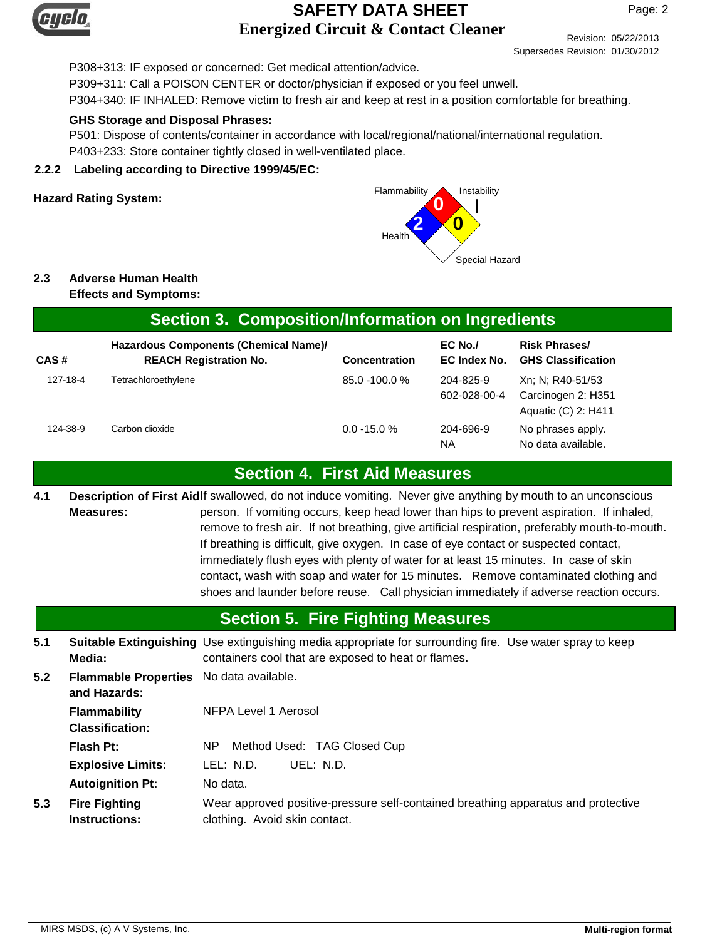

Revision: 05/22/2013 Supersedes Revision: 01/30/2012

P308+313: IF exposed or concerned: Get medical attention/advice.

P309+311: Call a POISON CENTER or doctor/physician if exposed or you feel unwell.

P304+340: IF INHALED: Remove victim to fresh air and keep at rest in a position comfortable for breathing.

#### **GHS Storage and Disposal Phrases:**

P501: Dispose of contents/container in accordance with local/regional/national/international regulation. P403+233: Store container tightly closed in well-ventilated place.

#### **2.2.2 Labeling according to Directive 1999/45/EC:**



# **2.3 Adverse Human Health**

**Effects and Symptoms:**

| Section 3. Composition/Information on Ingredients |                                                                        |                      |                           |                                                               |  |
|---------------------------------------------------|------------------------------------------------------------------------|----------------------|---------------------------|---------------------------------------------------------------|--|
| CAS#                                              | Hazardous Components (Chemical Name)/<br><b>REACH Registration No.</b> | <b>Concentration</b> | $EC$ No./<br>EC Index No. | <b>Risk Phrases/</b><br><b>GHS Classification</b>             |  |
| 127-18-4                                          | Tetrachloroethylene                                                    | 85.0 -100.0 %        | 204-825-9<br>602-028-00-4 | Xn; N; R40-51/53<br>Carcinogen 2: H351<br>Aquatic (C) 2: H411 |  |
| 124-38-9                                          | Carbon dioxide                                                         | $0.0 - 15.0 %$       | 204-696-9<br>ΝA           | No phrases apply.<br>No data available.                       |  |

## **Section 4. First Aid Measures**

Description of First Aidlf swallowed, do not induce vomiting. Never give anything by mouth to an unconscious person. If vomiting occurs, keep head lower than hips to prevent aspiration. If inhaled, remove to fresh air. If not breathing, give artificial respiration, preferably mouth-to-mouth. If breathing is difficult, give oxygen. In case of eye contact or suspected contact, immediately flush eyes with plenty of water for at least 15 minutes. In case of skin contact, wash with soap and water for 15 minutes. Remove contaminated clothing and shoes and launder before reuse. Call physician immediately if adverse reaction occurs. **Measures: 4.1**

# **Section 5. Fire Fighting Measures**

**5.1** Suitable Extinguishing Use extinguishing media appropriate for surrounding fire. Use water spray to keep containers cool that are exposed to heat or flames. **Media:**

**5.2 Flammability** NFPA Level 1 Aerosol **Flammable Properties** No data available. **and Hazards:**

**Flash Pt:** NP Method Used: TAG Closed Cup

**Explosive Limits:** LEL: N.D. UEL: N.D.

**Autoignition Pt:** No data.

**Classification:**

Wear approved positive-pressure self-contained breathing apparatus and protective clothing. Avoid skin contact. **Fire Fighting Instructions: 5.3**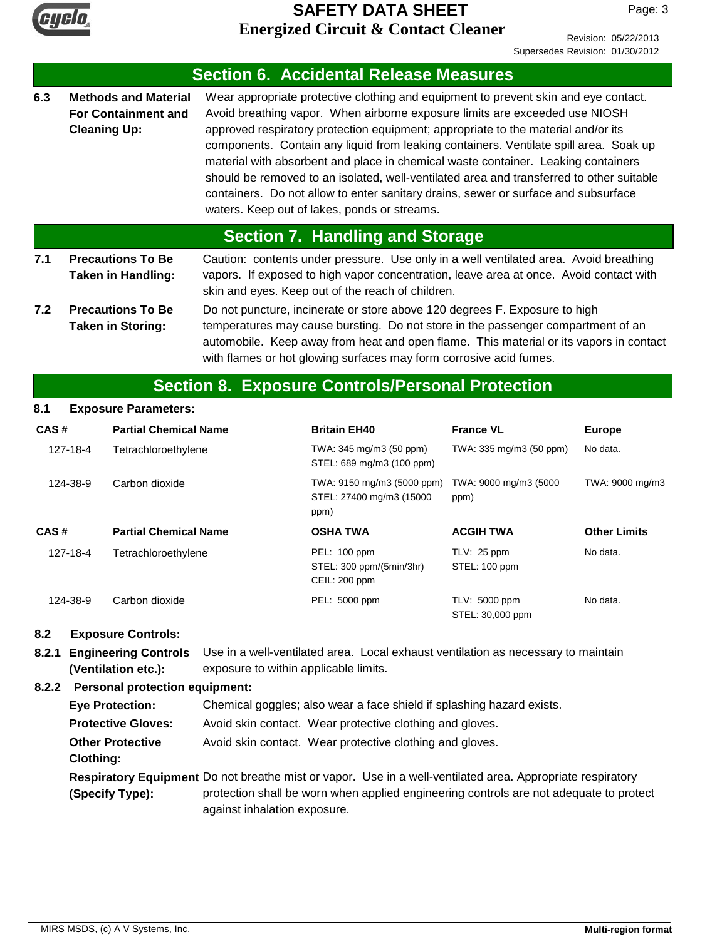

Revision: 05/22/2013 Supersedes Revision: 01/30/2012

|                                 |                                                      |                                                           |                                                           | <b>Section 6. Accidental Release Measures</b>                                                                                                                                                                                                                                                                                                                                                                                                                                                                                                                                                                                                                           |                               |                     |
|---------------------------------|------------------------------------------------------|-----------------------------------------------------------|-----------------------------------------------------------|-------------------------------------------------------------------------------------------------------------------------------------------------------------------------------------------------------------------------------------------------------------------------------------------------------------------------------------------------------------------------------------------------------------------------------------------------------------------------------------------------------------------------------------------------------------------------------------------------------------------------------------------------------------------------|-------------------------------|---------------------|
| 6.3                             | <b>Cleaning Up:</b>                                  | <b>Methods and Material</b><br><b>For Containment and</b> |                                                           | Wear appropriate protective clothing and equipment to prevent skin and eye contact.<br>Avoid breathing vapor. When airborne exposure limits are exceeded use NIOSH<br>approved respiratory protection equipment; appropriate to the material and/or its<br>components. Contain any liquid from leaking containers. Ventilate spill area. Soak up<br>material with absorbent and place in chemical waste container. Leaking containers<br>should be removed to an isolated, well-ventilated area and transferred to other suitable<br>containers. Do not allow to enter sanitary drains, sewer or surface and subsurface<br>waters. Keep out of lakes, ponds or streams. |                               |                     |
|                                 |                                                      |                                                           |                                                           | <b>Section 7. Handling and Storage</b>                                                                                                                                                                                                                                                                                                                                                                                                                                                                                                                                                                                                                                  |                               |                     |
| 7.1                             |                                                      | <b>Precautions To Be</b><br>Taken in Handling:            |                                                           | Caution: contents under pressure. Use only in a well ventilated area. Avoid breathing<br>vapors. If exposed to high vapor concentration, leave area at once. Avoid contact with<br>skin and eyes. Keep out of the reach of children.                                                                                                                                                                                                                                                                                                                                                                                                                                    |                               |                     |
| 7.2                             | <b>Precautions To Be</b><br><b>Taken in Storing:</b> |                                                           |                                                           | Do not puncture, incinerate or store above 120 degrees F. Exposure to high<br>temperatures may cause bursting. Do not store in the passenger compartment of an<br>automobile. Keep away from heat and open flame. This material or its vapors in contact<br>with flames or hot glowing surfaces may form corrosive acid fumes.                                                                                                                                                                                                                                                                                                                                          |                               |                     |
|                                 |                                                      |                                                           |                                                           | <b>Section 8. Exposure Controls/Personal Protection</b>                                                                                                                                                                                                                                                                                                                                                                                                                                                                                                                                                                                                                 |                               |                     |
| 8.1                             |                                                      | <b>Exposure Parameters:</b>                               |                                                           |                                                                                                                                                                                                                                                                                                                                                                                                                                                                                                                                                                                                                                                                         |                               |                     |
| CAS#                            |                                                      | <b>Partial Chemical Name</b>                              |                                                           | <b>Britain EH40</b>                                                                                                                                                                                                                                                                                                                                                                                                                                                                                                                                                                                                                                                     | <b>France VL</b>              | <b>Europe</b>       |
| 127-18-4                        |                                                      | Tetrachloroethylene                                       |                                                           | TWA: 345 mg/m3 (50 ppm)<br>STEL: 689 mg/m3 (100 ppm)                                                                                                                                                                                                                                                                                                                                                                                                                                                                                                                                                                                                                    | TWA: 335 mg/m3 (50 ppm)       | No data.            |
|                                 | 124-38-9                                             | Carbon dioxide                                            |                                                           | TWA: 9150 mg/m3 (5000 ppm)<br>STEL: 27400 mg/m3 (15000<br>ppm)                                                                                                                                                                                                                                                                                                                                                                                                                                                                                                                                                                                                          | TWA: 9000 mg/m3 (5000<br>ppm) | TWA: 9000 mg/m3     |
| CAS#                            |                                                      | <b>Partial Chemical Name</b>                              |                                                           | <b>OSHA TWA</b>                                                                                                                                                                                                                                                                                                                                                                                                                                                                                                                                                                                                                                                         | <b>ACGIH TWA</b>              | <b>Other Limits</b> |
| 127-18-4<br>Tetrachloroethylene |                                                      |                                                           | PEL: 100 ppm<br>STEL: 300 ppm/(5min/3hr)<br>CEIL: 200 ppm | TLV: $25$ ppm<br>STEL: 100 ppm                                                                                                                                                                                                                                                                                                                                                                                                                                                                                                                                                                                                                                          | No data.                      |                     |

124-38-9 Carbon dioxide **No really contain the Carbon dioxide** PEL: 5000 ppm TLV: 5000 ppm

#### **8.2 Exposure Controls:**

**8.2.1 Engineering Controls** Use in a well-ventilated area. Local exhaust ventilation as necessary to maintain exposure to within applicable limits. **(Ventilation etc.):**

#### **8.2.2 Personal protection equipment:**

| <b>Eye Protection:</b>    | Chemical goggles; also wear a face shield if splashing hazard exists.                                                  |
|---------------------------|------------------------------------------------------------------------------------------------------------------------|
| <b>Protective Gloves:</b> | Avoid skin contact. Wear protective clothing and gloves.                                                               |
| <b>Other Protective</b>   | Avoid skin contact. Wear protective clothing and gloves.                                                               |
| Clothing:                 |                                                                                                                        |
|                           | Respiratory Equipment Do not breathe mist or vapor. Use in a well-ventilated area. Appropriate respiratory             |
| (Specify Type):           | protection shall be worn when applied engineering controls are not adequate to protect<br>against inhalation exposure. |

PEL: 5000 ppm TLV: 5000 ppm STEL: 30,000 ppm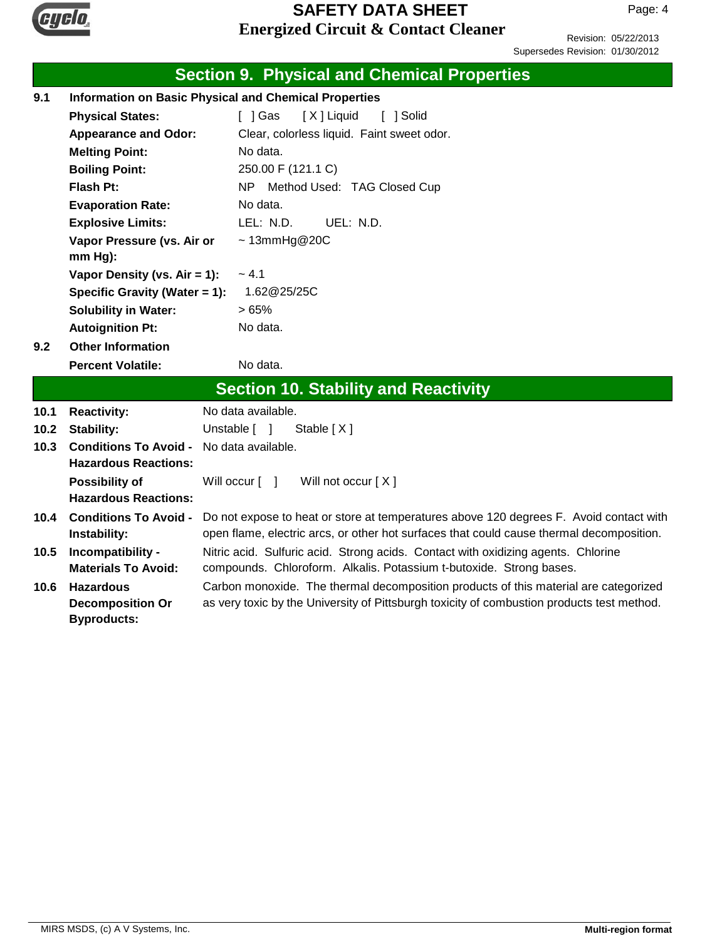

Page: 4

Revision: 05/22/2013 Supersedes Revision: 01/30/2012

|                                                                     |                                                   | <b>Section 9. Physical and Chemical Properties</b>                                                                                                       |  |  |
|---------------------------------------------------------------------|---------------------------------------------------|----------------------------------------------------------------------------------------------------------------------------------------------------------|--|--|
| <b>Information on Basic Physical and Chemical Properties</b><br>9.1 |                                                   |                                                                                                                                                          |  |  |
|                                                                     | <b>Physical States:</b>                           | [ ] Gas<br>[X] Liquid<br>[ ] Solid                                                                                                                       |  |  |
|                                                                     | <b>Appearance and Odor:</b>                       | Clear, colorless liquid. Faint sweet odor.                                                                                                               |  |  |
|                                                                     | <b>Melting Point:</b>                             | No data.                                                                                                                                                 |  |  |
|                                                                     | <b>Boiling Point:</b>                             | 250.00 F (121.1 C)                                                                                                                                       |  |  |
|                                                                     | Flash Pt:                                         | N <sub>P</sub><br>Method Used: TAG Closed Cup                                                                                                            |  |  |
|                                                                     | <b>Evaporation Rate:</b>                          | No data.                                                                                                                                                 |  |  |
|                                                                     | <b>Explosive Limits:</b>                          | LEL: N.D.<br>UEL: N.D.                                                                                                                                   |  |  |
|                                                                     | Vapor Pressure (vs. Air or                        | $\sim$ 13mmHg@20C                                                                                                                                        |  |  |
|                                                                     | $mm Hg$ ):                                        |                                                                                                                                                          |  |  |
|                                                                     | Vapor Density (vs. $Air = 1$ ):                   | $~-4.1$                                                                                                                                                  |  |  |
|                                                                     | Specific Gravity (Water = 1):                     | 1.62@25/25C                                                                                                                                              |  |  |
|                                                                     | <b>Solubility in Water:</b>                       | >65%                                                                                                                                                     |  |  |
|                                                                     | <b>Autoignition Pt:</b>                           | No data.                                                                                                                                                 |  |  |
| 9.2                                                                 | <b>Other Information</b>                          |                                                                                                                                                          |  |  |
|                                                                     | <b>Percent Volatile:</b>                          | No data.                                                                                                                                                 |  |  |
|                                                                     |                                                   | <b>Section 10. Stability and Reactivity</b>                                                                                                              |  |  |
| 10.1                                                                | <b>Reactivity:</b>                                | No data available.                                                                                                                                       |  |  |
| 10.2                                                                | Unstable [ ]<br><b>Stability:</b><br>Stable $[X]$ |                                                                                                                                                          |  |  |
| 10.3                                                                | <b>Conditions To Avoid -</b>                      | No data available.                                                                                                                                       |  |  |
|                                                                     | <b>Hazardous Reactions:</b>                       |                                                                                                                                                          |  |  |
|                                                                     | <b>Possibility of</b>                             | Will not occur $[X]$<br>Will occur $\lceil \quad \rceil$                                                                                                 |  |  |
|                                                                     | <b>Hazardous Reactions:</b>                       |                                                                                                                                                          |  |  |
| <b>Conditions To Avoid -</b><br>10.4                                |                                                   | Do not expose to heat or store at temperatures above 120 degrees F. Avoid contact with                                                                   |  |  |
|                                                                     | Instability:                                      | open flame, electric arcs, or other hot surfaces that could cause thermal decomposition.                                                                 |  |  |
| 10.5                                                                | Incompatibility -<br><b>Materials To Avoid:</b>   | Nitric acid. Sulfuric acid. Strong acids. Contact with oxidizing agents. Chlorine<br>compounds. Chloroform. Alkalis. Potassium t-butoxide. Strong bases. |  |  |
| 10.6                                                                | <b>Hazardous</b>                                  | Carbon monoxide. The thermal decomposition products of this material are categorized                                                                     |  |  |
|                                                                     | <b>Decomposition Or</b>                           | as very toxic by the University of Pittsburgh toxicity of combustion products test method.                                                               |  |  |
|                                                                     | <b>Byproducts:</b>                                |                                                                                                                                                          |  |  |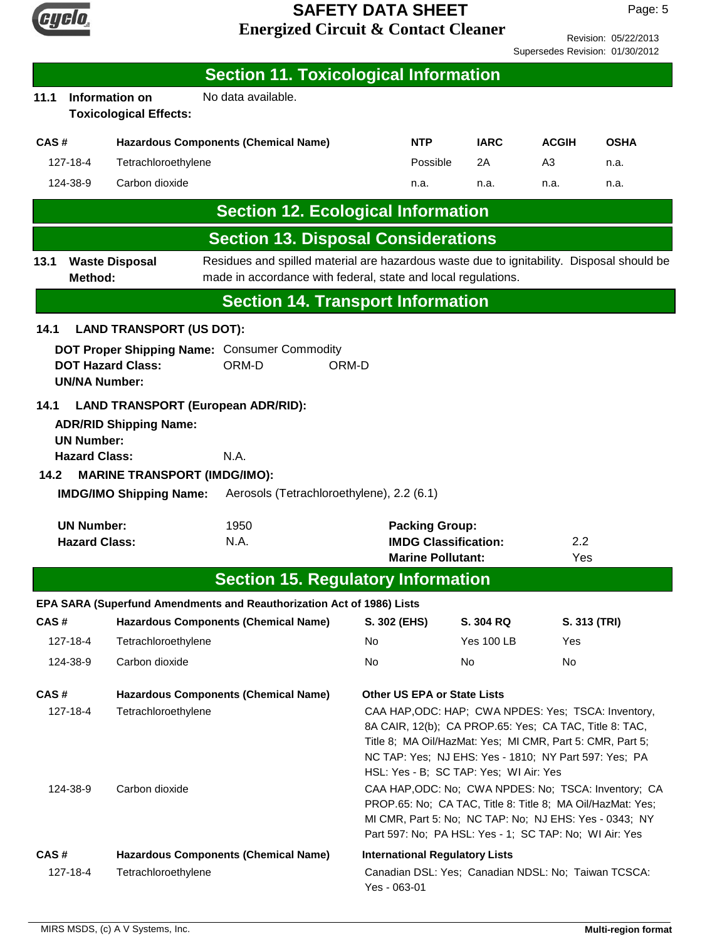

|                                 | Revision: 05/22/2013 |
|---------------------------------|----------------------|
| Supersedes Revision: 01/30/2012 |                      |

|                                                                                                                                                                                                                                                                                                                                                                                                                                                                                                     |                                           |                                                                                                        | <b>Section 11. Toxicological Information</b>                                                                                                               |                                                                                                                                                                                |                   |                |              |
|-----------------------------------------------------------------------------------------------------------------------------------------------------------------------------------------------------------------------------------------------------------------------------------------------------------------------------------------------------------------------------------------------------------------------------------------------------------------------------------------------------|-------------------------------------------|--------------------------------------------------------------------------------------------------------|------------------------------------------------------------------------------------------------------------------------------------------------------------|--------------------------------------------------------------------------------------------------------------------------------------------------------------------------------|-------------------|----------------|--------------|
| 11.1                                                                                                                                                                                                                                                                                                                                                                                                                                                                                                |                                           | Information on<br><b>Toxicological Effects:</b>                                                        | No data available.                                                                                                                                         |                                                                                                                                                                                |                   |                |              |
| CAS#<br><b>Hazardous Components (Chemical Name)</b>                                                                                                                                                                                                                                                                                                                                                                                                                                                 |                                           |                                                                                                        | <b>NTP</b>                                                                                                                                                 | <b>IARC</b>                                                                                                                                                                    | <b>ACGIH</b>      | <b>OSHA</b>    |              |
|                                                                                                                                                                                                                                                                                                                                                                                                                                                                                                     | 127-18-4                                  | Tetrachloroethylene                                                                                    |                                                                                                                                                            | Possible                                                                                                                                                                       | 2A                | A <sub>3</sub> | n.a.         |
|                                                                                                                                                                                                                                                                                                                                                                                                                                                                                                     | 124-38-9                                  | Carbon dioxide                                                                                         |                                                                                                                                                            | n.a.                                                                                                                                                                           | n.a.              | n.a.           | n.a.         |
|                                                                                                                                                                                                                                                                                                                                                                                                                                                                                                     |                                           |                                                                                                        | <b>Section 12. Ecological Information</b>                                                                                                                  |                                                                                                                                                                                |                   |                |              |
|                                                                                                                                                                                                                                                                                                                                                                                                                                                                                                     |                                           |                                                                                                        | <b>Section 13. Disposal Considerations</b>                                                                                                                 |                                                                                                                                                                                |                   |                |              |
| 13.1                                                                                                                                                                                                                                                                                                                                                                                                                                                                                                | Method:                                   | <b>Waste Disposal</b>                                                                                  | Residues and spilled material are hazardous waste due to ignitability. Disposal should be<br>made in accordance with federal, state and local regulations. |                                                                                                                                                                                |                   |                |              |
|                                                                                                                                                                                                                                                                                                                                                                                                                                                                                                     |                                           |                                                                                                        | <b>Section 14. Transport Information</b>                                                                                                                   |                                                                                                                                                                                |                   |                |              |
| 14.1                                                                                                                                                                                                                                                                                                                                                                                                                                                                                                |                                           | <b>LAND TRANSPORT (US DOT):</b>                                                                        |                                                                                                                                                            |                                                                                                                                                                                |                   |                |              |
|                                                                                                                                                                                                                                                                                                                                                                                                                                                                                                     | <b>UN/NA Number:</b>                      | <b>DOT Hazard Class:</b>                                                                               | DOT Proper Shipping Name: Consumer Commodity<br>ORM-D                                                                                                      | ORM-D                                                                                                                                                                          |                   |                |              |
| 14.2                                                                                                                                                                                                                                                                                                                                                                                                                                                                                                | <b>UN Number:</b><br><b>Hazard Class:</b> | <b>ADR/RID Shipping Name:</b><br><b>MARINE TRANSPORT (IMDG/IMO):</b><br><b>IMDG/IMO Shipping Name:</b> | <b>LAND TRANSPORT (European ADR/RID):</b><br>N.A.<br>Aerosols (Tetrachloroethylene), 2.2 (6.1)                                                             |                                                                                                                                                                                |                   |                |              |
| <b>UN Number:</b><br>1950<br><b>Hazard Class:</b><br>N.A.                                                                                                                                                                                                                                                                                                                                                                                                                                           |                                           |                                                                                                        | <b>Packing Group:</b><br><b>IMDG Classification:</b><br><b>Marine Pollutant:</b>                                                                           |                                                                                                                                                                                | 2.2<br>Yes        |                |              |
|                                                                                                                                                                                                                                                                                                                                                                                                                                                                                                     |                                           |                                                                                                        | <b>Section 15. Regulatory Information</b>                                                                                                                  |                                                                                                                                                                                |                   |                |              |
|                                                                                                                                                                                                                                                                                                                                                                                                                                                                                                     |                                           |                                                                                                        | EPA SARA (Superfund Amendments and Reauthorization Act of 1986) Lists                                                                                      |                                                                                                                                                                                |                   |                |              |
| CAS#                                                                                                                                                                                                                                                                                                                                                                                                                                                                                                |                                           |                                                                                                        | <b>Hazardous Components (Chemical Name)</b>                                                                                                                | S. 302 (EHS)                                                                                                                                                                   | S. 304 RQ         |                | S. 313 (TRI) |
|                                                                                                                                                                                                                                                                                                                                                                                                                                                                                                     | 127-18-4                                  | Tetrachloroethylene                                                                                    |                                                                                                                                                            | No.                                                                                                                                                                            | <b>Yes 100 LB</b> | Yes            |              |
|                                                                                                                                                                                                                                                                                                                                                                                                                                                                                                     | 124-38-9                                  | Carbon dioxide                                                                                         |                                                                                                                                                            | No                                                                                                                                                                             | No                | No             |              |
| CAS#<br><b>Hazardous Components (Chemical Name)</b><br><b>Other US EPA or State Lists</b><br>Tetrachloroethylene<br>CAA HAP, ODC: HAP; CWA NPDES: Yes; TSCA: Inventory,<br>127-18-4<br>8A CAIR, 12(b); CA PROP.65: Yes; CA TAC, Title 8: TAC,<br>Title 8; MA Oil/HazMat: Yes; MI CMR, Part 5: CMR, Part 5;<br>NC TAP: Yes; NJ EHS: Yes - 1810; NY Part 597: Yes; PA<br>HSL: Yes - B; SC TAP: Yes; WI Air: Yes<br>Carbon dioxide<br>CAA HAP, ODC: No; CWA NPDES: No; TSCA: Inventory; CA<br>124-38-9 |                                           |                                                                                                        |                                                                                                                                                            |                                                                                                                                                                                |                   |                |              |
|                                                                                                                                                                                                                                                                                                                                                                                                                                                                                                     |                                           |                                                                                                        |                                                                                                                                                            | PROP.65: No; CA TAC, Title 8: Title 8; MA Oil/HazMat: Yes;<br>MI CMR, Part 5: No; NC TAP: No; NJ EHS: Yes - 0343; NY<br>Part 597: No; PA HSL: Yes - 1; SC TAP: No; WI Air: Yes |                   |                |              |
|                                                                                                                                                                                                                                                                                                                                                                                                                                                                                                     |                                           |                                                                                                        |                                                                                                                                                            |                                                                                                                                                                                |                   |                |              |